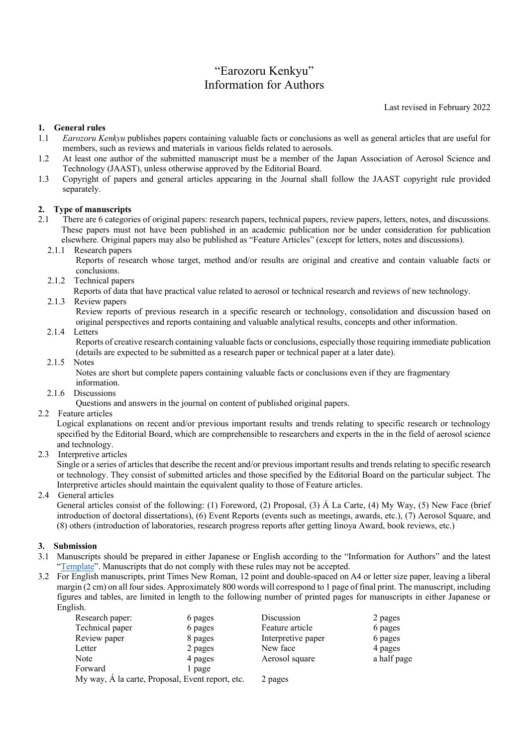# "Earozoru Kenkyu" Information for Authors

Last revised in February 2022

# **1. General rules**

- 1.1 *Earozoru Kenkyu* publishes papers containing valuable facts or conclusions as well as general articles that are useful for members, such as reviews and materials in various fields related to aerosols.
- 1.2 At least one author of the submitted manuscript must be a member of the Japan Association of Aerosol Science and Technology (JAAST), unless otherwise approved by the Editorial Board.
- 1.3 Copyright of papers and general articles appearing in the Journal shall follow the JAAST copyright rule provided separately.

# **2. Type of manuscripts**

- 2.1 There are 6 categories of original papers: research papers, technical papers, review papers, letters, notes, and discussions. These papers must not have been published in an academic publication nor be under consideration for publication elsewhere. Original papers may also be published as "Feature Articles" (except for letters, notes and discussions).
	- 2.1.1 Research papers

Reports of research whose target, method and/or results are original and creative and contain valuable facts or conclusions.

- 2.1.2 Technical papers
- Reports of data that have practical value related to aerosol or technical research and reviews of new technology.
- 2.1.3 Review papers

Review reports of previous research in a specific research or technology, consolidation and discussion based on original perspectives and reports containing and valuable analytical results, concepts and other information.

2.1.4 Letters

Reports of creative research containing valuable facts or conclusions, especially those requiring immediate publication (details are expected to be submitted as a research paper or technical paper at a later date).

2.1.5 Notes

Notes are short but complete papers containing valuable facts or conclusions even if they are fragmentary information.

2.1.6 Discussions

Questions and answers in the journal on content of published original papers.

2.2 Feature articles

Logical explanations on recent and/or previous important results and trends relating to specific research or technology specified by the Editorial Board, which are comprehensible to researchers and experts in the in the field of aerosol science and technology.

2.3 Interpretive articles

Single or a series of articles that describe the recent and/or previous important results and trends relating to specific research or technology. They consist of submitted articles and those specified by the Editorial Board on the particular subject. The Interpretive articles should maintain the equivalent quality to those of Feature articles.

2.4 General articles

General articles consist of the following: (1) Foreword, (2) Proposal, (3) Á La Carte, (4) My Way, (5) New Face (brief introduction of doctoral dissertations), (6) Event Reports (events such as meetings, awards, etc.), (7) Aerosol Square, and (8) others (introduction of laboratories, research progress reports after getting Iinoya Award, book reviews, etc.)

# **3. Submission**

- 3.1 Manuscripts should be prepared in either Japanese or English according to the "Information for Authors" and the latest "[Template](https://www.jaast.jp/new/guidance_publications.html)". Manuscripts that do not comply with these rules may not be accepted.
- 3.2 For English manuscripts, print Times New Roman, 12 point and double-spaced on A4 or letter size paper, leaving a liberal margin (2 cm) on all four sides. Approximately 800 words will correspond to 1 page of final print. The manuscript, including figures and tables, are limited in length to the following number of printed pages for manuscripts in either Japanese or English.

| Research paper:                                  | 6 pages | Discussion         | 2 pages     |
|--------------------------------------------------|---------|--------------------|-------------|
| Technical paper                                  | 6 pages | Feature article    | 6 pages     |
| Review paper                                     | 8 pages | Interpretive paper | 6 pages     |
| Letter                                           | 2 pages | New face           | 4 pages     |
| Note                                             | 4 pages | Aerosol square     | a half page |
| Forward                                          | l page  |                    |             |
| My way, A la carte, Proposal, Event report, etc. |         | 2 pages            |             |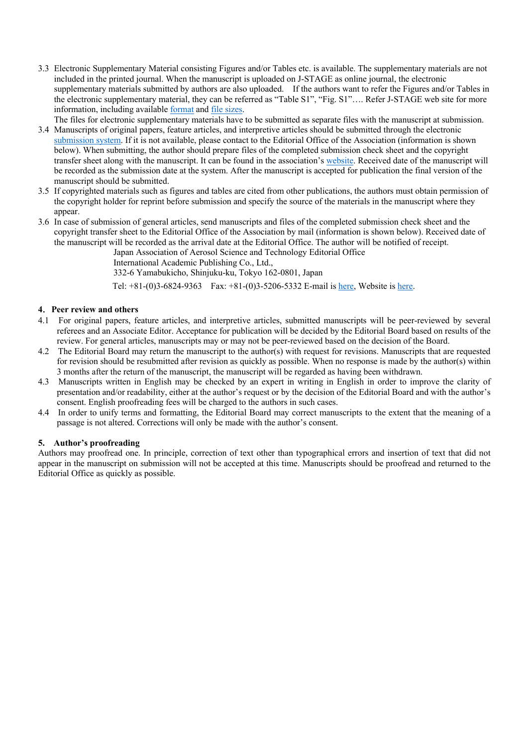3.3 Electronic Supplementary Material consisting Figures and/or Tables etc. is available. The supplementary materials are not included in the printed journal. When the manuscript is uploaded on J-STAGE as online journal, the electronic supplementary materials submitted by authors are also uploaded. If the authors want to refer the Figures and/or Tables in the electronic supplementary material, they can be referred as "Table S1", "Fig. S1"…. Refer J-STAGE web site for more information, including available [format](https://www.jstage.jst.go.jp/static/files/ja/UM-01-004_sousa(henshu)_append5.pdf) and file [sizes](https://www.jstage.jst.go.jp/static/pages/ForPublishers/TAB2/-char/ja).

The files for electronic supplementary materials have to be submitted as separate files with the manuscript at submission.

- 3.4 Manuscripts of original papers, feature articles, and interpretive articles should be submitted through the electronic [submission system](https://iap-jp.org/jaast/journal/). If it is not available, please contact to the Editorial Office of the Association (information is shown below). When submitting, the author should prepare files of the completed submission check sheet and the copyright transfer sheet along with the manuscript. It can be found in the association's [website.](https://www.jaast.jp/new/guidance_publications.html) Received date of the manuscript will be recorded as the submission date at the system. After the manuscript is accepted for publication the final version of the manuscript should be submitted.
- 3.5 If copyrighted materials such as figures and tables are cited from other publications, the authors must obtain permission of the copyright holder for reprint before submission and specify the source of the materials in the manuscript where they appear.
- 3.6 In case of submission of general articles, send manuscripts and files of the completed submission check sheet and the copyright transfer sheet to the Editorial Office of the Association by mail (information is shown below). Received date of the manuscript will be recorded as the arrival date at the Editorial Office. The author will be notified of receipt.

Japan Association of Aerosol Science and Technology Editorial Office

International Academic Publishing Co., Ltd.,

332-6 Yamabukicho, Shinjuku-ku, Tokyo 162-0801, Japan

Tel: +81-(0)3-6824-9363 Fax: +81-(0)3-5206-5332 E-mail is [here,](mailto:jaast-edit@bunken.co.jp) Website is [here.](https://www.jaast.jp/new/guidance_publications.html)

### **4**.**Peer review and others**

- 4.1 For original papers, feature articles, and interpretive articles, submitted manuscripts will be peer-reviewed by several referees and an Associate Editor. Acceptance for publication will be decided by the Editorial Board based on results of the review. For general articles, manuscripts may or may not be peer-reviewed based on the decision of the Board.
- 4.2 The Editorial Board may return the manuscript to the author(s) with request for revisions. Manuscripts that are requested for revision should be resubmitted after revision as quickly as possible. When no response is made by the author(s) within 3 months after the return of the manuscript, the manuscript will be regarded as having been withdrawn.
- 4.3 Manuscripts written in English may be checked by an expert in writing in English in order to improve the clarity of presentation and/or readability, either at the author's request or by the decision of the Editorial Board and with the author's consent. English proofreading fees will be charged to the authors in such cases.
- 4.4 In order to unify terms and formatting, the Editorial Board may correct manuscripts to the extent that the meaning of a passage is not altered. Corrections will only be made with the author's consent.

### **5. Author's proofreading**

Authors may proofread one. In principle, correction of text other than typographical errors and insertion of text that did not appear in the manuscript on submission will not be accepted at this time. Manuscripts should be proofread and returned to the Editorial Office as quickly as possible.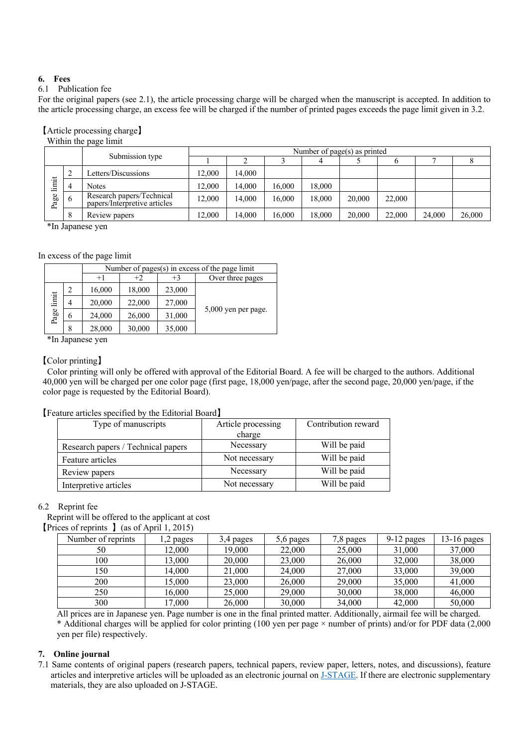# **6. Fees**

# 6.1 Publication fee

For the original papers (see 2.1), the article processing charge will be charged when the manuscript is accepted. In addition to the article processing charge, an excess fee will be charged if the number of printed pages exceeds the page limit given in 3.2.

#### 【Article processing charge】 Within the page limit

| $\ldots$ $\ldots$ $\ldots$ $\ldots$ $\ldots$ $\ldots$ $\ldots$ $\ldots$ $\ldots$ $\ldots$ $\ldots$ $\ldots$ $\ldots$ $\ldots$ $\ldots$ $\ldots$ $\ldots$ $\ldots$ $\ldots$ $\ldots$ $\ldots$ $\ldots$ $\ldots$ $\ldots$ $\ldots$ $\ldots$ $\ldots$ $\ldots$ $\ldots$ $\ldots$ $\ldots$ $\ldots$ $\ldots$ $\ldots$ $\ldots$ $\ldots$ $\ldots$ |                |                                                           | Number of page( $s$ ) as printed |        |        |        |        |        |        |        |
|----------------------------------------------------------------------------------------------------------------------------------------------------------------------------------------------------------------------------------------------------------------------------------------------------------------------------------------------|----------------|-----------------------------------------------------------|----------------------------------|--------|--------|--------|--------|--------|--------|--------|
|                                                                                                                                                                                                                                                                                                                                              |                | Submission type                                           |                                  |        |        |        |        |        |        |        |
| $\frac{1}{2}$<br>age<br>௨                                                                                                                                                                                                                                                                                                                    | $\overline{c}$ | Letters/Discussions                                       | 12.000                           | 14.000 |        |        |        |        |        |        |
|                                                                                                                                                                                                                                                                                                                                              | $\Lambda$      | <b>Notes</b>                                              | 12.000                           | 14.000 | 16.000 | 18,000 |        |        |        |        |
|                                                                                                                                                                                                                                                                                                                                              |                | Research papers/Technical<br>papers/Interpretive articles | 12.000                           | 14.000 | 16,000 | 18,000 | 20,000 | 22,000 |        |        |
|                                                                                                                                                                                                                                                                                                                                              | 8              | Review papers                                             | 12.000                           | 14.000 | 16.000 | 18,000 | 20,000 | 22,000 | 24,000 | 26,000 |

\*In Japanese yen

### In excess of the page limit

|                  |                | Number of pages $(s)$ in excess of the page limit |        |                       |                  |  |  |
|------------------|----------------|---------------------------------------------------|--------|-----------------------|------------------|--|--|
|                  |                | $+1$                                              | $+2$   | $+3$                  | Over three pages |  |  |
|                  | $\overline{c}$ | 16,000                                            | 18,000 | 23,000                |                  |  |  |
| limit            | 4              | 20,000                                            | 22,000 | 27,000                |                  |  |  |
| Page 1<br>6<br>8 | 24,000         | 26,000                                            | 31,000 | $5,000$ yen per page. |                  |  |  |
|                  |                | 28,000                                            | 30,000 | 35,000                |                  |  |  |

\*In Japanese yen

### 【Color printing】

Color printing will only be offered with approval of the Editorial Board. A fee will be charged to the authors. Additional 40,000 yen will be charged per one color page (first page, 18,000 yen/page, after the second page, 20,000 yen/page, if the color page is requested by the Editorial Board).

### 【Feature articles specified by the Editorial Board】

| Type of manuscripts                | Article processing | Contribution reward |
|------------------------------------|--------------------|---------------------|
|                                    | charge             |                     |
| Research papers / Technical papers | Necessary          | Will be paid        |
| Feature articles                   | Not necessary      | Will be paid        |
| Review papers                      | Necessary          | Will be paid        |
| Interpretive articles              | Not necessary      | Will be paid        |

### 6.2 Reprint fee

Reprint will be offered to the applicant at cost

【Prices of reprints 】(as of April 1, 2015)

| Number of reprints | l,2 pages | 3,4 pages | 5,6 pages | 7,8 pages | $9-12$ pages | $13-16$ pages |
|--------------------|-----------|-----------|-----------|-----------|--------------|---------------|
| 50                 | 12,000    | 19,000    | 22,000    | 25,000    | 31,000       | 37,000        |
| 100                | 13.000    | 20,000    | 23,000    | 26,000    | 32,000       | 38,000        |
| 150                | 14.000    | 21,000    | 24,000    | 27,000    | 33,000       | 39,000        |
| 200                | 15,000    | 23,000    | 26,000    | 29,000    | 35,000       | 41,000        |
| 250                | 16.000    | 25,000    | 29,000    | 30,000    | 38,000       | 46,000        |
| 300                | 17,000    | 26,000    | 30,000    | 34,000    | 42,000       | 50,000        |

All prices are in Japanese yen. Page number is one in the final printed matter. Additionally, airmail fee will be charged. \* Additional charges will be applied for color printing (100 yen per page × number of prints) and/or for PDF data (2,000 yen per file) respectively.

### **7. Online journal**

7.1 Same contents of original papers (research papers, technical papers, review paper, letters, notes, and discussions), feature articles and interpretive articles will be uploaded as an electronic journal on [J-STAGE](https://www.jstage.jst.go.jp/browse/jar/-char/en). If there are electronic supplementary materials, they are also uploaded on J-STAGE.